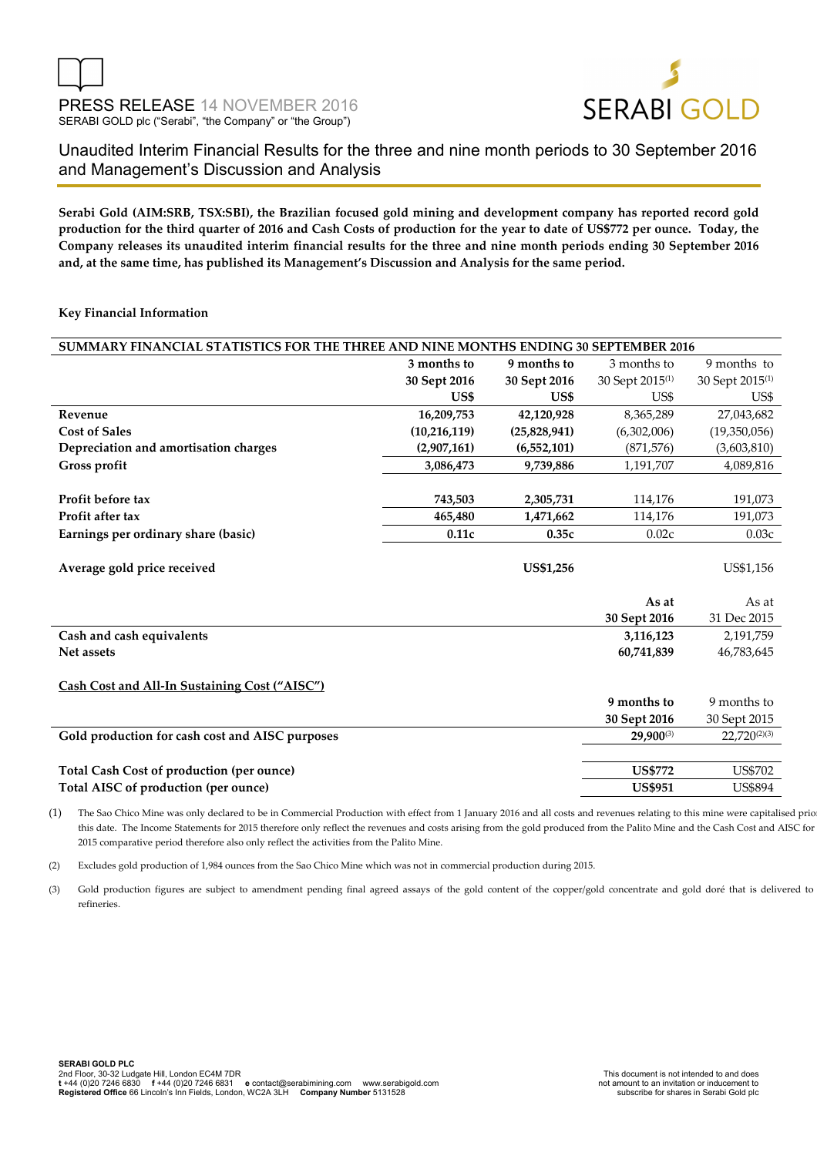

Unaudited Interim Financial Results for the three and nine month periods to 30 September 2016 and Management's Discussion and Analysis

**Serabi Gold (AIM:SRB, TSX:SBI), the Brazilian focused gold mining and development company has reported record gold production for the third quarter of 2016 and Cash Costs of production for the year to date of US\$772 per ounce. Today, the Company releases its unaudited interim financial results for the three and nine month periods ending 30 September 2016 and, at the same time, has published its Management's Discussion and Analysis for the same period.** 

#### **Key Financial Information**

| SUMMARY FINANCIAL STATISTICS FOR THE THREE AND NINE MONTHS ENDING 30 SEPTEMBER 2016 |                |                  |                             |                             |  |
|-------------------------------------------------------------------------------------|----------------|------------------|-----------------------------|-----------------------------|--|
|                                                                                     | 3 months to    | 9 months to      | 3 months to                 | 9 months to                 |  |
|                                                                                     | 30 Sept 2016   | 30 Sept 2016     | 30 Sept 2015 <sup>(1)</sup> | 30 Sept 2015 <sup>(1)</sup> |  |
|                                                                                     | US\$           | US\$             | US\$                        | US\$                        |  |
| Revenue                                                                             | 16,209,753     | 42,120,928       | 8,365,289                   | 27,043,682                  |  |
| <b>Cost of Sales</b>                                                                | (10, 216, 119) | (25,828,941)     | (6,302,006)                 | (19,350,056)                |  |
| Depreciation and amortisation charges                                               | (2,907,161)    | (6,552,101)      | (871, 576)                  | (3,603,810)                 |  |
| Gross profit                                                                        | 3,086,473      | 9,739,886        | 1,191,707                   | 4,089,816                   |  |
|                                                                                     |                |                  |                             |                             |  |
| Profit before tax                                                                   | 743,503        | 2,305,731        | 114,176                     | 191,073                     |  |
| Profit after tax                                                                    | 465,480        | 1,471,662        | 114,176                     | 191,073                     |  |
| Earnings per ordinary share (basic)                                                 | 0.11c          | 0.35c            | 0.02c                       | 0.03c                       |  |
|                                                                                     |                |                  |                             |                             |  |
| Average gold price received                                                         |                | <b>US\$1,256</b> |                             | US\$1,156                   |  |
|                                                                                     |                |                  |                             |                             |  |
|                                                                                     |                |                  | As at                       | As at                       |  |
|                                                                                     |                |                  | 30 Sept 2016                | 31 Dec 2015                 |  |
| Cash and cash equivalents                                                           |                |                  | 3,116,123                   | 2,191,759                   |  |
| Net assets                                                                          |                |                  | 60,741,839                  | 46,783,645                  |  |
|                                                                                     |                |                  |                             |                             |  |
| Cash Cost and All-In Sustaining Cost ("AISC")                                       |                |                  |                             |                             |  |
|                                                                                     |                |                  | 9 months to                 | 9 months to                 |  |
|                                                                                     |                |                  | 30 Sept 2016                | 30 Sept 2015                |  |
| Gold production for cash cost and AISC purposes                                     |                |                  | 29,900(3)                   | $22,720^{(2)(3)}$           |  |
|                                                                                     |                |                  |                             |                             |  |
| <b>Total Cash Cost of production (per ounce)</b>                                    |                |                  | <b>US\$772</b>              | <b>US\$702</b>              |  |
| Total AISC of production (per ounce)                                                |                |                  | <b>US\$951</b>              | <b>US\$894</b>              |  |

(1) The Sao Chico Mine was only declared to be in Commercial Production with effect from 1 January 2016 and all costs and revenues relating to this mine were capitalised prior to this date. The Income Statements for 2015 therefore only reflect the revenues and costs arising from the gold produced from the Palito Mine and the Cash Cost and AISC for the 2015 comparative period therefore also only reflect the activities from the Palito Mine.

(2) Excludes gold production of 1,984 ounces from the Sao Chico Mine which was not in commercial production during 2015.

(3) Gold production figures are subject to amendment pending final agreed assays of the gold content of the copper/gold concentrate and gold doré that is delivered to the refineries.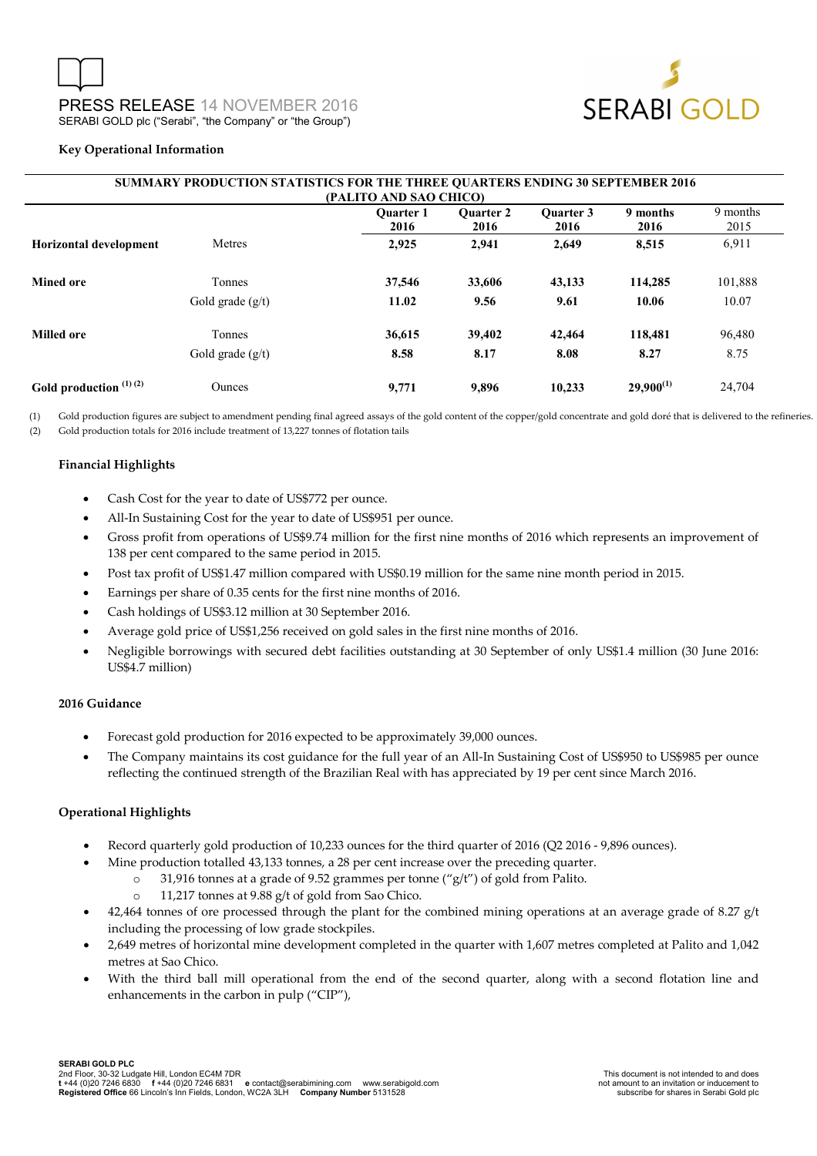

#### **Key Operational Information**

| <b>SUMMARY PRODUCTION STATISTICS FOR THE THREE OUARTERS ENDING 30 SEPTEMBER 2016</b><br>(PALITO AND SAO CHICO)           |                    |        |        |        |                |         |  |  |
|--------------------------------------------------------------------------------------------------------------------------|--------------------|--------|--------|--------|----------------|---------|--|--|
| 9 months<br><b>Ouarter 1</b><br><b>Ouarter 3</b><br>9 months<br><b>Ouarter 2</b><br>2015<br>2016<br>2016<br>2016<br>2016 |                    |        |        |        |                |         |  |  |
| <b>Horizontal development</b>                                                                                            | Metres             | 2,925  | 2,941  | 2,649  | 8,515          | 6,911   |  |  |
| <b>Mined ore</b>                                                                                                         | <b>Tonnes</b>      | 37,546 | 33,606 | 43,133 | 114,285        | 101,888 |  |  |
|                                                                                                                          | Gold grade $(g/t)$ | 11.02  | 9.56   | 9.61   | 10.06          | 10.07   |  |  |
| <b>Milled ore</b>                                                                                                        | Tonnes             | 36,615 | 39,402 | 42,464 | 118,481        | 96,480  |  |  |
|                                                                                                                          | Gold grade $(g/t)$ | 8.58   | 8.17   | 8.08   | 8.27           | 8.75    |  |  |
| Gold production $(1)(2)$                                                                                                 | <b>Ounces</b>      | 9,771  | 9,896  | 10.233 | $29,900^{(1)}$ | 24,704  |  |  |

(1) Gold production figures are subject to amendment pending final agreed assays of the gold content of the copper/gold concentrate and gold doré that is delivered to the refineries. (2) Gold production totals for 2016 include treatment of 13,227 tonnes of flotation tails

## **Financial Highlights**

- Cash Cost for the year to date of US\$772 per ounce.
- All-In Sustaining Cost for the year to date of US\$951 per ounce.
- Gross profit from operations of US\$9.74 million for the first nine months of 2016 which represents an improvement of 138 per cent compared to the same period in 2015.
- Post tax profit of US\$1.47 million compared with US\$0.19 million for the same nine month period in 2015.
- Earnings per share of 0.35 cents for the first nine months of 2016.
- Cash holdings of US\$3.12 million at 30 September 2016.
- Average gold price of US\$1,256 received on gold sales in the first nine months of 2016.
- Negligible borrowings with secured debt facilities outstanding at 30 September of only US\$1.4 million (30 June 2016: US\$4.7 million)

## **2016 Guidance**

- Forecast gold production for 2016 expected to be approximately 39,000 ounces.
- The Company maintains its cost guidance for the full year of an All-In Sustaining Cost of US\$950 to US\$985 per ounce reflecting the continued strength of the Brazilian Real with has appreciated by 19 per cent since March 2016.

## **Operational Highlights**

- Record quarterly gold production of 10,233 ounces for the third quarter of 2016 (Q2 2016 9,896 ounces).
	- Mine production totalled 43,133 tonnes, a 28 per cent increase over the preceding quarter.
		- o 31,916 tonnes at a grade of 9.52 grammes per tonne ("g/t") of gold from Palito.
		- o 11,217 tonnes at 9.88 g/t of gold from Sao Chico.
- $42,464$  tonnes of ore processed through the plant for the combined mining operations at an average grade of 8.27 g/t including the processing of low grade stockpiles.
- 2,649 metres of horizontal mine development completed in the quarter with 1,607 metres completed at Palito and 1,042 metres at Sao Chico.
- With the third ball mill operational from the end of the second quarter, along with a second flotation line and enhancements in the carbon in pulp ("CIP"),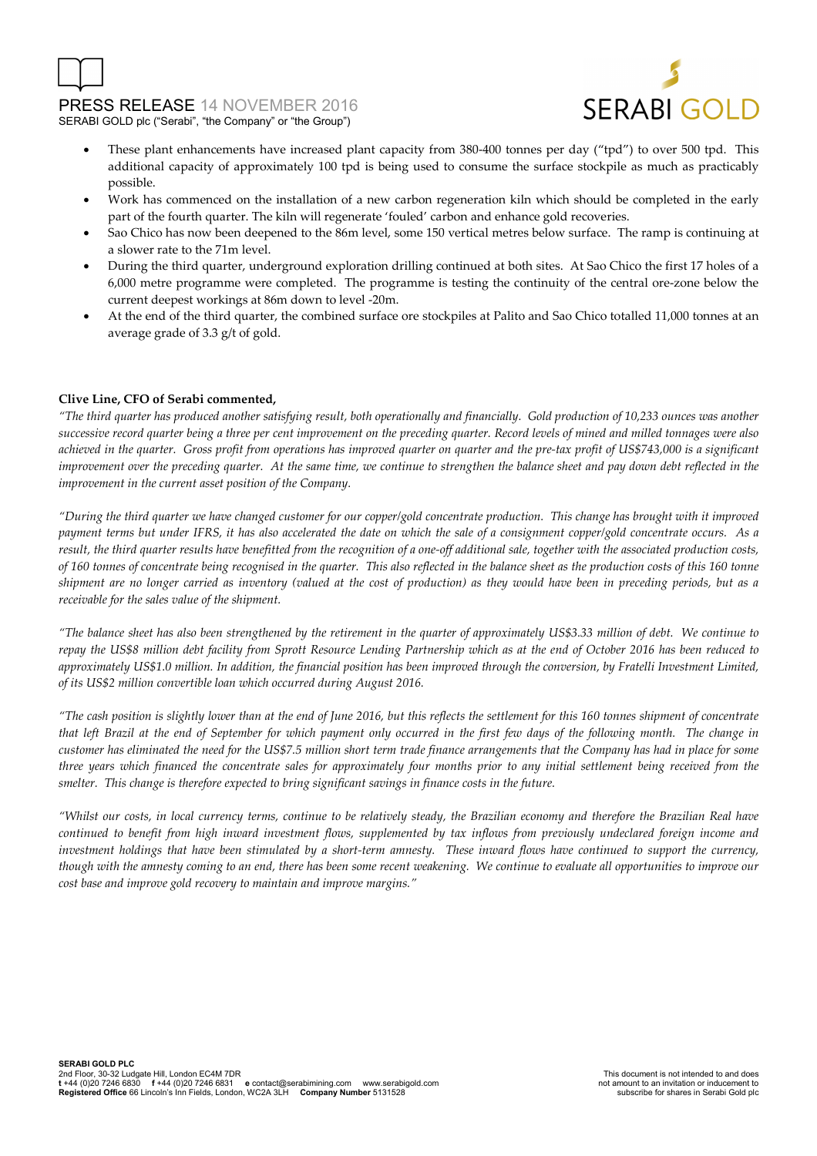



- These plant enhancements have increased plant capacity from 380-400 tonnes per day ("tpd") to over 500 tpd. This additional capacity of approximately 100 tpd is being used to consume the surface stockpile as much as practicably possible.
- Work has commenced on the installation of a new carbon regeneration kiln which should be completed in the early part of the fourth quarter. The kiln will regenerate 'fouled' carbon and enhance gold recoveries.
- Sao Chico has now been deepened to the 86m level, some 150 vertical metres below surface. The ramp is continuing at a slower rate to the 71m level.
- During the third quarter, underground exploration drilling continued at both sites. At Sao Chico the first 17 holes of a 6,000 metre programme were completed. The programme is testing the continuity of the central ore-zone below the current deepest workings at 86m down to level -20m.
- At the end of the third quarter, the combined surface ore stockpiles at Palito and Sao Chico totalled 11,000 tonnes at an average grade of 3.3 g/t of gold.

## **Clive Line, CFO of Serabi commented,**

*"The third quarter has produced another satisfying result, both operationally and financially. Gold production of 10,233 ounces was another successive record quarter being a three per cent improvement on the preceding quarter. Record levels of mined and milled tonnages were also achieved in the quarter. Gross profit from operations has improved quarter on quarter and the pre-tax profit of US\$743,000 is a significant improvement over the preceding quarter. At the same time, we continue to strengthen the balance sheet and pay down debt reflected in the improvement in the current asset position of the Company.* 

*"During the third quarter we have changed customer for our copper/gold concentrate production. This change has brought with it improved payment terms but under IFRS, it has also accelerated the date on which the sale of a consignment copper/gold concentrate occurs. As a result, the third quarter results have benefitted from the recognition of a one-off additional sale, together with the associated production costs, of 160 tonnes of concentrate being recognised in the quarter. This also reflected in the balance sheet as the production costs of this 160 tonne shipment are no longer carried as inventory (valued at the cost of production) as they would have been in preceding periods, but as a receivable for the sales value of the shipment.* 

*"The balance sheet has also been strengthened by the retirement in the quarter of approximately US\$3.33 million of debt. We continue to repay the US\$8 million debt facility from Sprott Resource Lending Partnership which as at the end of October 2016 has been reduced to approximately US\$1.0 million. In addition, the financial position has been improved through the conversion, by Fratelli Investment Limited, of its US\$2 million convertible loan which occurred during August 2016.* 

*"The cash position is slightly lower than at the end of June 2016, but this reflects the settlement for this 160 tonnes shipment of concentrate that left Brazil at the end of September for which payment only occurred in the first few days of the following month. The change in customer has eliminated the need for the US\$7.5 million short term trade finance arrangements that the Company has had in place for some three years which financed the concentrate sales for approximately four months prior to any initial settlement being received from the smelter. This change is therefore expected to bring significant savings in finance costs in the future.* 

*"Whilst our costs, in local currency terms, continue to be relatively steady, the Brazilian economy and therefore the Brazilian Real have continued to benefit from high inward investment flows, supplemented by tax inflows from previously undeclared foreign income and investment holdings that have been stimulated by a short-term amnesty. These inward flows have continued to support the currency, though with the amnesty coming to an end, there has been some recent weakening. We continue to evaluate all opportunities to improve our cost base and improve gold recovery to maintain and improve margins."*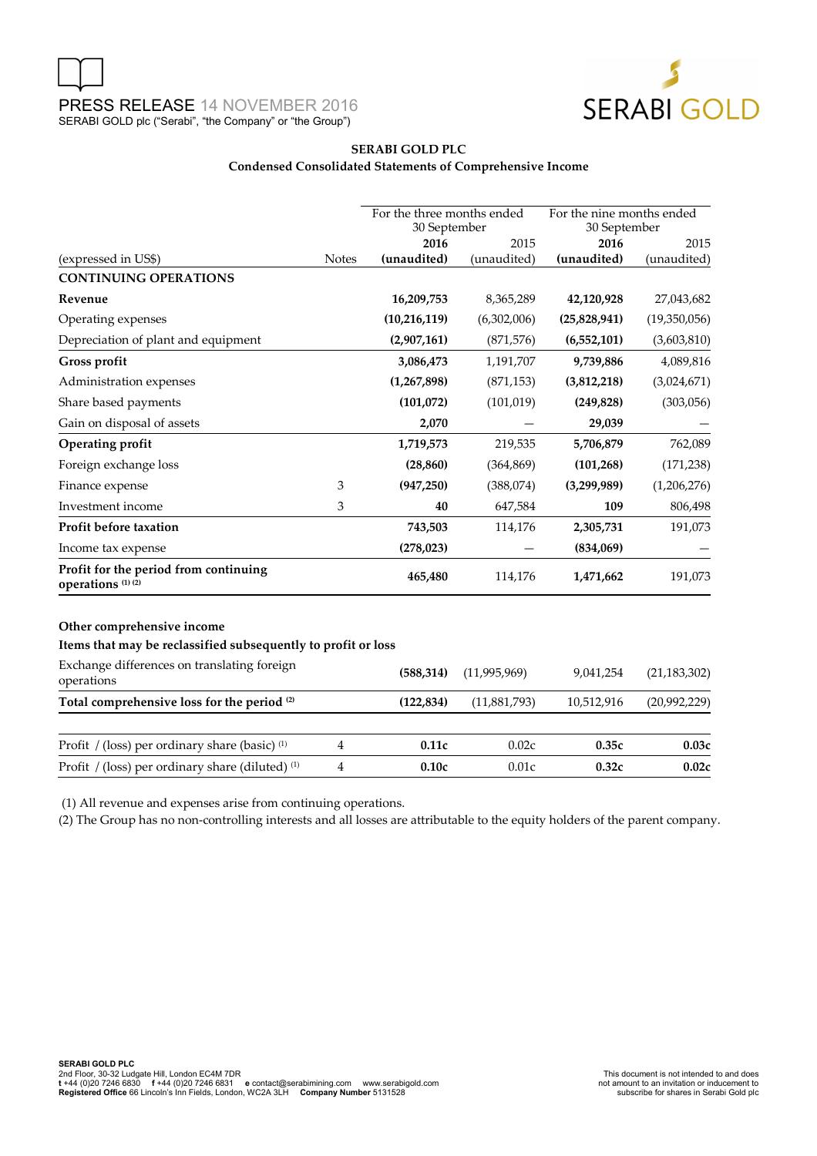

## **SERABI GOLD PLC Condensed Consolidated Statements of Comprehensive Income**

|                                                                                             |              | For the three months ended<br>30 September |                | For the nine months ended<br>30 September |                |
|---------------------------------------------------------------------------------------------|--------------|--------------------------------------------|----------------|-------------------------------------------|----------------|
|                                                                                             |              | 2016                                       | 2015           | 2016                                      | 2015           |
| (expressed in US\$)                                                                         | <b>Notes</b> | (unaudited)                                | (unaudited)    | (unaudited)                               | (unaudited)    |
| <b>CONTINUING OPERATIONS</b>                                                                |              |                                            |                |                                           |                |
| Revenue                                                                                     |              | 16,209,753                                 | 8,365,289      | 42,120,928                                | 27,043,682     |
| Operating expenses                                                                          |              | (10, 216, 119)                             | (6,302,006)    | (25,828,941)                              | (19,350,056)   |
| Depreciation of plant and equipment                                                         |              | (2,907,161)                                | (871, 576)     | (6, 552, 101)                             | (3,603,810)    |
| Gross profit                                                                                |              | 3,086,473                                  | 1,191,707      | 9,739,886                                 | 4,089,816      |
| Administration expenses                                                                     |              | (1, 267, 898)                              | (871, 153)     | (3,812,218)                               | (3,024,671)    |
| Share based payments                                                                        |              | (101,072)                                  | (101, 019)     | (249, 828)                                | (303,056)      |
| Gain on disposal of assets                                                                  |              | 2,070                                      |                | 29,039                                    |                |
| <b>Operating profit</b>                                                                     |              | 1,719,573                                  | 219,535        | 5,706,879                                 | 762,089        |
| Foreign exchange loss                                                                       |              | (28, 860)                                  | (364, 869)     | (101, 268)                                | (171, 238)     |
| Finance expense                                                                             | 3            | (947, 250)                                 | (388,074)      | (3,299,989)                               | (1,206,276)    |
| Investment income                                                                           | 3            | 40                                         | 647,584        | 109                                       | 806,498        |
| Profit before taxation                                                                      |              | 743,503                                    | 114,176        | 2,305,731                                 | 191,073        |
| Income tax expense                                                                          |              | (278, 023)                                 |                | (834,069)                                 |                |
| Profit for the period from continuing<br>operations <sup>(1)(2)</sup>                       |              | 465,480                                    | 114,176        | 1,471,662                                 | 191,073        |
| Other comprehensive income<br>Items that may be reclassified subsequently to profit or loss |              |                                            |                |                                           |                |
|                                                                                             |              |                                            |                |                                           |                |
| Exchange differences on translating foreign<br>operations                                   |              | (588, 314)                                 | (11, 995, 969) | 9,041,254                                 | (21, 183, 302) |
| Total comprehensive loss for the period (2)                                                 |              | (122, 834)                                 | (11,881,793)   | 10,512,916                                | (20,992,229)   |
| Profit / (loss) per ordinary share (basic) <sup>(1)</sup>                                   | 4            | 0.11c                                      | 0.02c          | 0.35c                                     | 0.03c          |
| Profit / (loss) per ordinary share (diluted) <sup>(1)</sup>                                 | 4            | 0.10c                                      | 0.01c          | 0.32c                                     | 0.02c          |

(1) All revenue and expenses arise from continuing operations.

(2) The Group has no non-controlling interests and all losses are attributable to the equity holders of the parent company.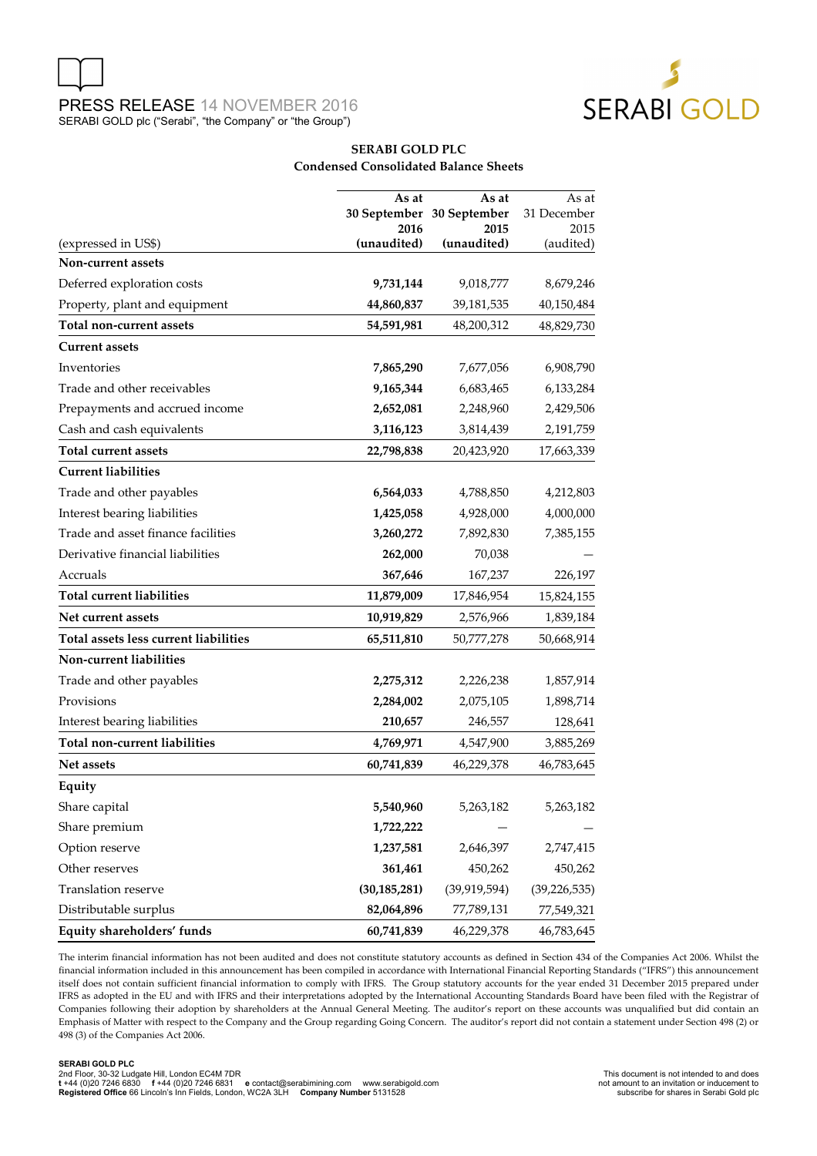

#### **SERABI GOLD PLC Condensed Consolidated Balance Sheets**

|                                       | As at          | As at                             | As at               |
|---------------------------------------|----------------|-----------------------------------|---------------------|
|                                       | 2016           | 30 September 30 September<br>2015 | 31 December<br>2015 |
| (expressed in US\$)                   | (unaudited)    | (unaudited)                       | (audited)           |
| Non-current assets                    |                |                                   |                     |
| Deferred exploration costs            | 9,731,144      | 9,018,777                         | 8,679,246           |
| Property, plant and equipment         | 44,860,837     | 39,181,535                        | 40,150,484          |
| <b>Total non-current assets</b>       | 54,591,981     | 48,200,312                        | 48,829,730          |
| <b>Current assets</b>                 |                |                                   |                     |
| Inventories                           | 7,865,290      | 7,677,056                         | 6,908,790           |
| Trade and other receivables           | 9,165,344      | 6,683,465                         | 6,133,284           |
| Prepayments and accrued income        | 2,652,081      | 2,248,960                         | 2,429,506           |
| Cash and cash equivalents             | 3,116,123      | 3,814,439                         | 2,191,759           |
| <b>Total current assets</b>           | 22,798,838     | 20,423,920                        | 17,663,339          |
| <b>Current liabilities</b>            |                |                                   |                     |
| Trade and other payables              | 6,564,033      | 4,788,850                         | 4,212,803           |
| Interest bearing liabilities          | 1,425,058      | 4,928,000                         | 4,000,000           |
| Trade and asset finance facilities    | 3,260,272      | 7,892,830                         | 7,385,155           |
| Derivative financial liabilities      | 262,000        | 70,038                            |                     |
| Accruals                              | 367,646        | 167,237                           | 226,197             |
| <b>Total current liabilities</b>      | 11,879,009     | 17,846,954                        | 15,824,155          |
| Net current assets                    | 10,919,829     | 2,576,966                         | 1,839,184           |
| Total assets less current liabilities | 65,511,810     | 50,777,278                        | 50,668,914          |
| Non-current liabilities               |                |                                   |                     |
| Trade and other payables              | 2,275,312      | 2,226,238                         | 1,857,914           |
| Provisions                            | 2,284,002      | 2,075,105                         | 1,898,714           |
| Interest bearing liabilities          | 210,657        | 246,557                           | 128,641             |
| <b>Total non-current liabilities</b>  | 4,769,971      | 4,547,900                         | 3,885,269           |
| Net assets                            | 60,741,839     | 46,229,378                        | 46,783,645          |
| Equity                                |                |                                   |                     |
| Share capital                         | 5,540,960      | 5,263,182                         | 5,263,182           |
| Share premium                         | 1,722,222      |                                   |                     |
| Option reserve                        | 1,237,581      | 2,646,397                         | 2,747,415           |
| Other reserves                        | 361,461        | 450,262                           | 450,262             |
| Translation reserve                   | (30, 185, 281) | (39, 919, 594)                    | (39, 226, 535)      |
| Distributable surplus                 | 82,064,896     | 77,789,131                        | 77,549,321          |
| Equity shareholders' funds            | 60,741,839     | 46,229,378                        | 46,783,645          |

The interim financial information has not been audited and does not constitute statutory accounts as defined in Section 434 of the Companies Act 2006. Whilst the financial information included in this announcement has been compiled in accordance with International Financial Reporting Standards ("IFRS") this announcement itself does not contain sufficient financial information to comply with IFRS. The Group statutory accounts for the year ended 31 December 2015 prepared under IFRS as adopted in the EU and with IFRS and their interpretations adopted by the International Accounting Standards Board have been filed with the Registrar of Companies following their adoption by shareholders at the Annual General Meeting. The auditor's report on these accounts was unqualified but did contain an Emphasis of Matter with respect to the Company and the Group regarding Going Concern. The auditor's report did not contain a statement under Section 498 (2) or 498 (3) of the Companies Act 2006.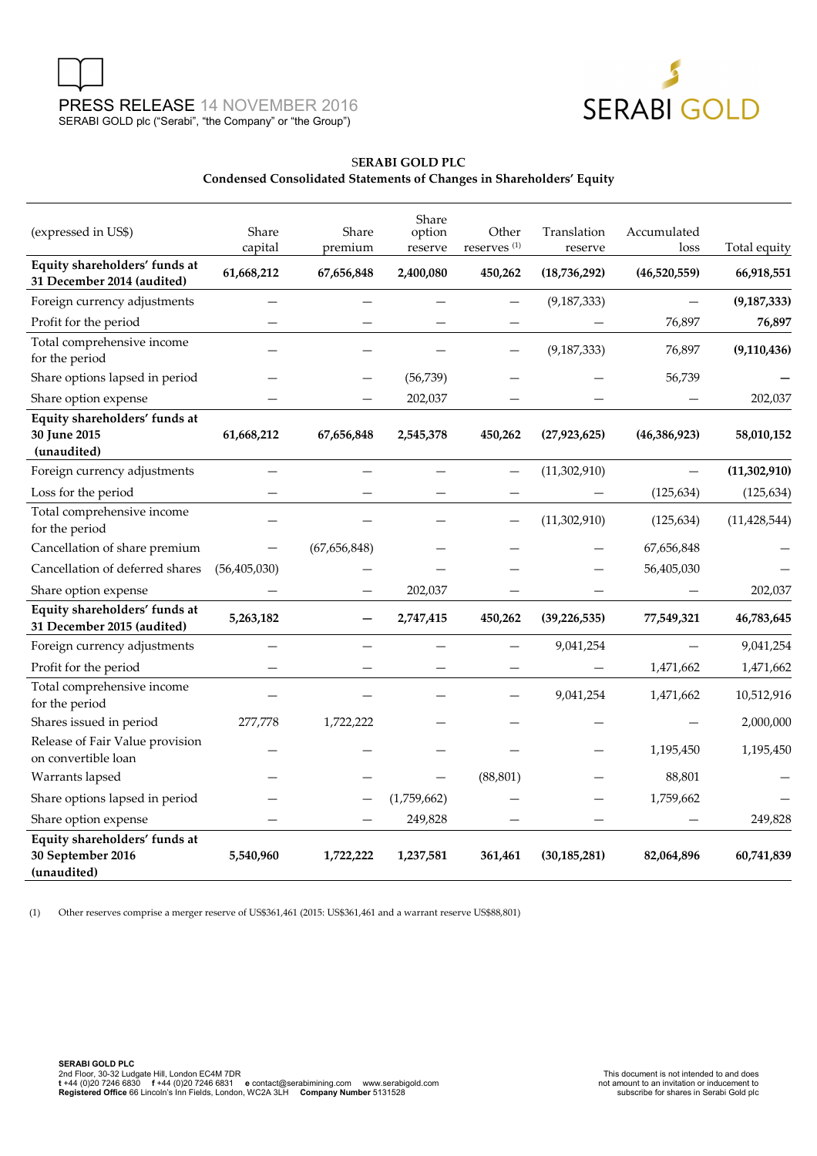



## S**ERABI GOLD PLC Condensed Consolidated Statements of Changes in Shareholders' Equity**

| (expressed in US\$)                                               | Share<br>capital | Share<br>premium | Share<br>option<br>reserve | Other<br>reserves <sup>(1)</sup> | Translation<br>reserve | Accumulated<br>loss | Total equity   |
|-------------------------------------------------------------------|------------------|------------------|----------------------------|----------------------------------|------------------------|---------------------|----------------|
| Equity shareholders' funds at<br>31 December 2014 (audited)       | 61,668,212       | 67,656,848       | 2,400,080                  | 450,262                          | (18, 736, 292)         | (46,520,559)        | 66,918,551     |
| Foreign currency adjustments                                      |                  |                  |                            |                                  | (9, 187, 333)          |                     | (9, 187, 333)  |
| Profit for the period                                             |                  |                  |                            |                                  |                        | 76,897              | 76,897         |
| Total comprehensive income<br>for the period                      |                  |                  |                            |                                  | (9, 187, 333)          | 76,897              | (9, 110, 436)  |
| Share options lapsed in period                                    |                  |                  | (56, 739)                  |                                  |                        | 56,739              |                |
| Share option expense                                              |                  |                  | 202,037                    |                                  |                        |                     | 202,037        |
| Equity shareholders' funds at<br>30 June 2015<br>(unaudited)      | 61,668,212       | 67,656,848       | 2,545,378                  | 450,262                          | (27, 923, 625)         | (46, 386, 923)      | 58,010,152     |
| Foreign currency adjustments                                      |                  |                  |                            |                                  | (11,302,910)           |                     | (11, 302, 910) |
| Loss for the period                                               |                  |                  |                            |                                  |                        | (125, 634)          | (125, 634)     |
| Total comprehensive income<br>for the period                      |                  |                  |                            |                                  | (11,302,910)           | (125, 634)          | (11, 428, 544) |
| Cancellation of share premium                                     |                  | (67,656,848)     |                            |                                  |                        | 67,656,848          |                |
| Cancellation of deferred shares                                   | (56, 405, 030)   |                  |                            |                                  |                        | 56,405,030          |                |
| Share option expense                                              |                  |                  | 202,037                    |                                  |                        |                     | 202,037        |
| Equity shareholders' funds at<br>31 December 2015 (audited)       | 5,263,182        |                  | 2,747,415                  | 450,262                          | (39, 226, 535)         | 77,549,321          | 46,783,645     |
| Foreign currency adjustments                                      |                  |                  |                            | $\overline{\phantom{0}}$         | 9,041,254              |                     | 9,041,254      |
| Profit for the period                                             |                  |                  |                            |                                  |                        | 1,471,662           | 1,471,662      |
| Total comprehensive income<br>for the period                      |                  |                  |                            |                                  | 9,041,254              | 1,471,662           | 10,512,916     |
| Shares issued in period                                           | 277,778          | 1,722,222        |                            |                                  |                        |                     | 2,000,000      |
| Release of Fair Value provision<br>on convertible loan            |                  |                  |                            |                                  |                        | 1,195,450           | 1,195,450      |
| Warrants lapsed                                                   |                  |                  |                            | (88, 801)                        |                        | 88,801              |                |
| Share options lapsed in period                                    |                  |                  | (1,759,662)                |                                  |                        | 1,759,662           |                |
| Share option expense                                              |                  |                  | 249,828                    |                                  |                        |                     | 249,828        |
| Equity shareholders' funds at<br>30 September 2016<br>(unaudited) | 5,540,960        | 1,722,222        | 1,237,581                  | 361,461                          | (30, 185, 281)         | 82,064,896          | 60,741,839     |

(1) Other reserves comprise a merger reserve of US\$361,461 (2015: US\$361,461 and a warrant reserve US\$88,801)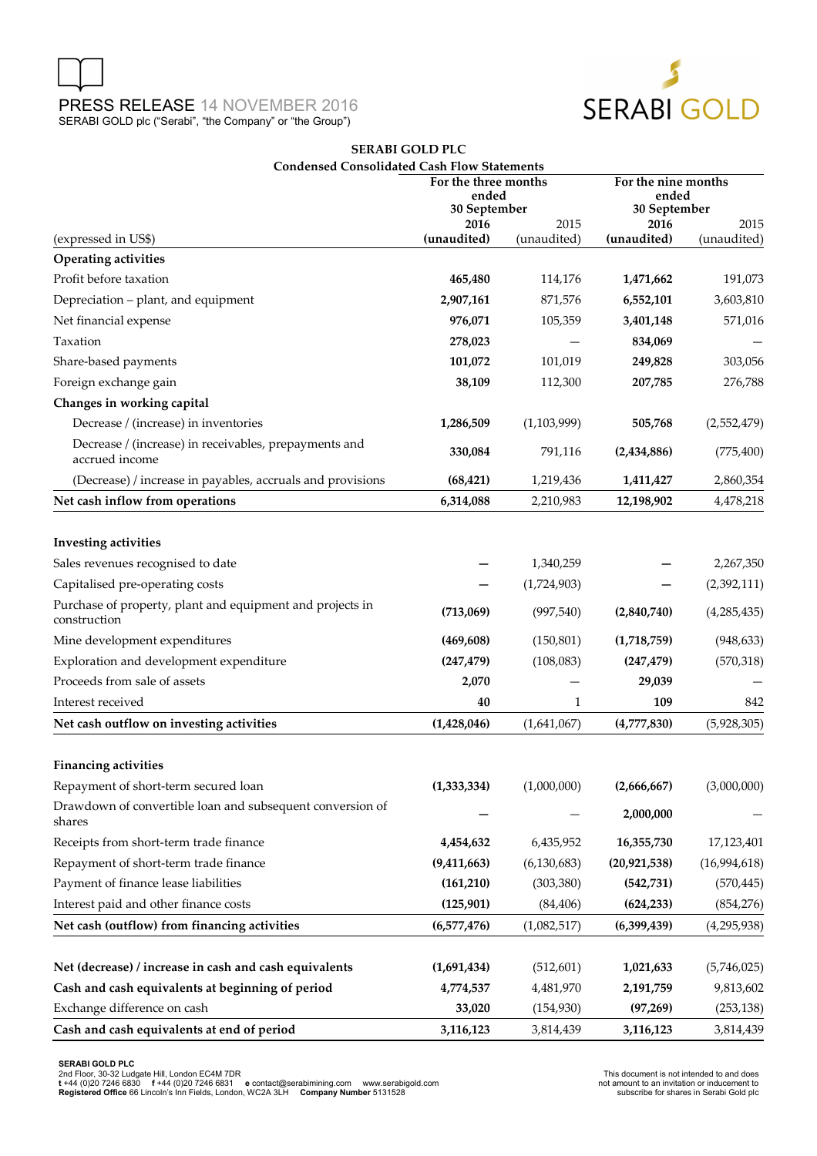



## **SERABI GOLD PLC Condensed Consolidated Cash Flow Statements**

|                                                                           | For the three months<br>ended<br>30 September |               | For the nine months<br>ended<br>30 September |               |
|---------------------------------------------------------------------------|-----------------------------------------------|---------------|----------------------------------------------|---------------|
|                                                                           | 2016                                          | 2015          | 2016                                         | 2015          |
| (expressed in US\$)                                                       | (unaudited)                                   | (unaudited)   | (unaudited)                                  | (unaudited)   |
| <b>Operating activities</b>                                               |                                               |               |                                              |               |
| Profit before taxation                                                    | 465,480                                       | 114,176       | 1,471,662                                    | 191,073       |
| Depreciation - plant, and equipment                                       | 2,907,161                                     | 871,576       | 6,552,101                                    | 3,603,810     |
| Net financial expense                                                     | 976,071                                       | 105,359       | 3,401,148                                    | 571,016       |
| Taxation                                                                  | 278,023                                       |               | 834,069                                      |               |
| Share-based payments                                                      | 101,072                                       | 101,019       | 249,828                                      | 303,056       |
| Foreign exchange gain                                                     | 38,109                                        | 112,300       | 207,785                                      | 276,788       |
| Changes in working capital                                                |                                               |               |                                              |               |
| Decrease / (increase) in inventories                                      | 1,286,509                                     | (1,103,999)   | 505,768                                      | (2,552,479)   |
| Decrease / (increase) in receivables, prepayments and<br>accrued income   | 330,084                                       | 791,116       | (2,434,886)                                  | (775, 400)    |
| (Decrease) / increase in payables, accruals and provisions                | (68, 421)                                     | 1,219,436     | 1,411,427                                    | 2,860,354     |
| Net cash inflow from operations                                           | 6,314,088                                     | 2,210,983     | 12,198,902                                   | 4,478,218     |
|                                                                           |                                               |               |                                              |               |
| <b>Investing activities</b>                                               |                                               |               |                                              |               |
| Sales revenues recognised to date                                         |                                               | 1,340,259     |                                              | 2,267,350     |
| Capitalised pre-operating costs                                           |                                               | (1,724,903)   |                                              | (2,392,111)   |
| Purchase of property, plant and equipment and projects in<br>construction | (713,069)                                     | (997, 540)    | (2,840,740)                                  | (4,285,435)   |
| Mine development expenditures                                             | (469, 608)                                    | (150, 801)    | (1,718,759)                                  | (948, 633)    |
| Exploration and development expenditure                                   | (247, 479)                                    | (108,083)     | (247, 479)                                   | (570, 318)    |
| Proceeds from sale of assets                                              | 2,070                                         |               | 29,039                                       |               |
| Interest received                                                         | 40                                            | 1             | 109                                          | 842           |
| Net cash outflow on investing activities                                  | (1,428,046)                                   | (1,641,067)   | (4,777,830)                                  | (5,928,305)   |
| <b>Financing activities</b>                                               |                                               |               |                                              |               |
| Repayment of short-term secured loan                                      | (1, 333, 334)                                 | (1,000,000)   | (2,666,667)                                  | (3,000,000)   |
| Drawdown of convertible loan and subsequent conversion of<br>shares       |                                               |               | 2,000,000                                    |               |
| Receipts from short-term trade finance                                    | 4,454,632                                     | 6,435,952     | 16,355,730                                   | 17,123,401    |
| Repayment of short-term trade finance                                     | (9,411,663)                                   | (6, 130, 683) | (20, 921, 538)                               | (16,994,618)  |
| Payment of finance lease liabilities                                      | (161, 210)                                    | (303, 380)    | (542, 731)                                   | (570, 445)    |
| Interest paid and other finance costs                                     | (125, 901)                                    | (84, 406)     | (624, 233)                                   | (854, 276)    |
| Net cash (outflow) from financing activities                              | (6,577,476)                                   | (1,082,517)   | (6,399,439)                                  | (4, 295, 938) |
|                                                                           |                                               |               |                                              |               |
| Net (decrease) / increase in cash and cash equivalents                    | (1,691,434)                                   | (512, 601)    | 1,021,633                                    | (5,746,025)   |
| Cash and cash equivalents at beginning of period                          | 4,774,537                                     | 4,481,970     | 2,191,759                                    | 9,813,602     |
| Exchange difference on cash                                               | 33,020                                        | (154, 930)    | (97, 269)                                    | (253, 138)    |
| Cash and cash equivalents at end of period                                | 3,116,123                                     | 3,814,439     | 3,116,123                                    | 3,814,439     |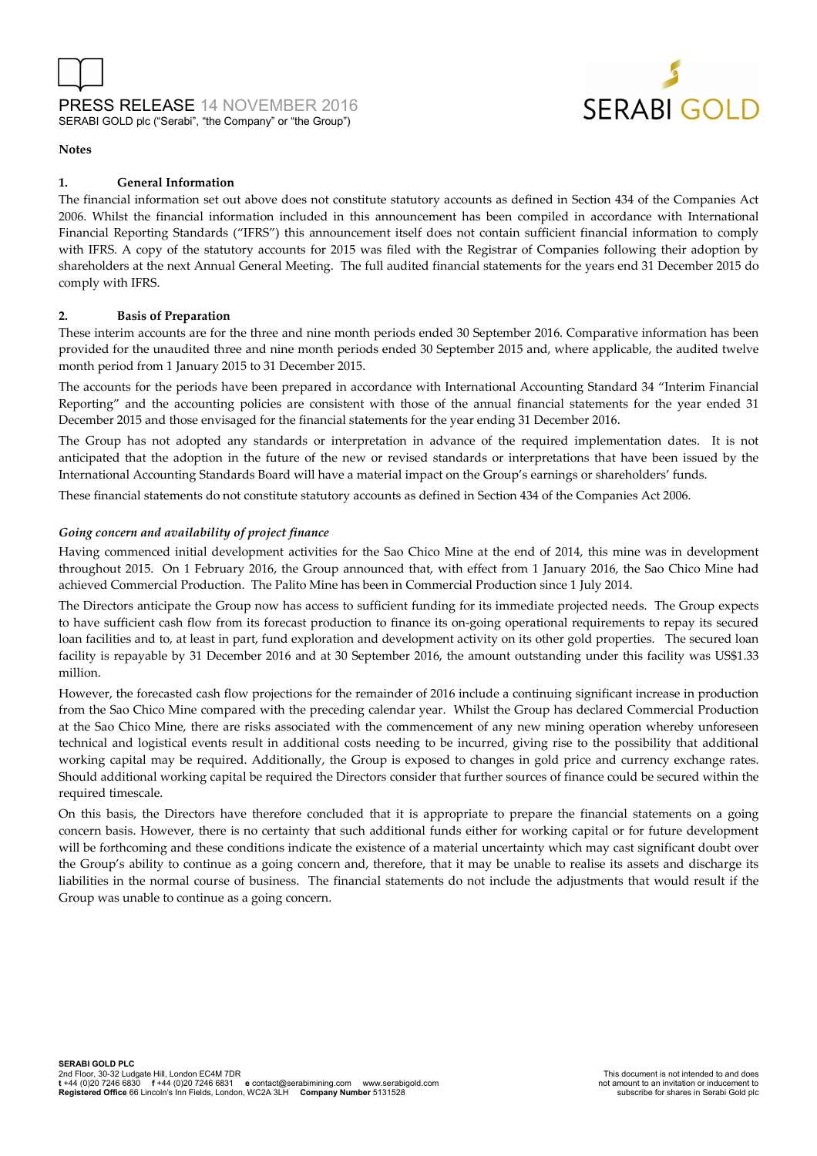

#### **Notes**

#### **1. General Information**

The financial information set out above does not constitute statutory accounts as defined in Section 434 of the Companies Act 2006. Whilst the financial information included in this announcement has been compiled in accordance with International Financial Reporting Standards ("IFRS") this announcement itself does not contain sufficient financial information to comply with IFRS. A copy of the statutory accounts for 2015 was filed with the Registrar of Companies following their adoption by shareholders at the next Annual General Meeting. The full audited financial statements for the years end 31 December 2015 do comply with IFRS.

#### **2. Basis of Preparation**

These interim accounts are for the three and nine month periods ended 30 September 2016. Comparative information has been provided for the unaudited three and nine month periods ended 30 September 2015 and, where applicable, the audited twelve month period from 1 January 2015 to 31 December 2015.

The accounts for the periods have been prepared in accordance with International Accounting Standard 34 "Interim Financial Reporting" and the accounting policies are consistent with those of the annual financial statements for the year ended 31 December 2015 and those envisaged for the financial statements for the year ending 31 December 2016.

The Group has not adopted any standards or interpretation in advance of the required implementation dates. It is not anticipated that the adoption in the future of the new or revised standards or interpretations that have been issued by the International Accounting Standards Board will have a material impact on the Group's earnings or shareholders' funds.

These financial statements do not constitute statutory accounts as defined in Section 434 of the Companies Act 2006.

#### *Going concern and availability of project finance*

Having commenced initial development activities for the Sao Chico Mine at the end of 2014, this mine was in development throughout 2015. On 1 February 2016, the Group announced that, with effect from 1 January 2016, the Sao Chico Mine had achieved Commercial Production. The Palito Mine has been in Commercial Production since 1 July 2014.

The Directors anticipate the Group now has access to sufficient funding for its immediate projected needs. The Group expects to have sufficient cash flow from its forecast production to finance its on-going operational requirements to repay its secured loan facilities and to, at least in part, fund exploration and development activity on its other gold properties. The secured loan facility is repayable by 31 December 2016 and at 30 September 2016, the amount outstanding under this facility was US\$1.33 million.

However, the forecasted cash flow projections for the remainder of 2016 include a continuing significant increase in production from the Sao Chico Mine compared with the preceding calendar year. Whilst the Group has declared Commercial Production at the Sao Chico Mine, there are risks associated with the commencement of any new mining operation whereby unforeseen technical and logistical events result in additional costs needing to be incurred, giving rise to the possibility that additional working capital may be required. Additionally, the Group is exposed to changes in gold price and currency exchange rates. Should additional working capital be required the Directors consider that further sources of finance could be secured within the required timescale.

On this basis, the Directors have therefore concluded that it is appropriate to prepare the financial statements on a going concern basis. However, there is no certainty that such additional funds either for working capital or for future development will be forthcoming and these conditions indicate the existence of a material uncertainty which may cast significant doubt over the Group's ability to continue as a going concern and, therefore, that it may be unable to realise its assets and discharge its liabilities in the normal course of business. The financial statements do not include the adjustments that would result if the Group was unable to continue as a going concern.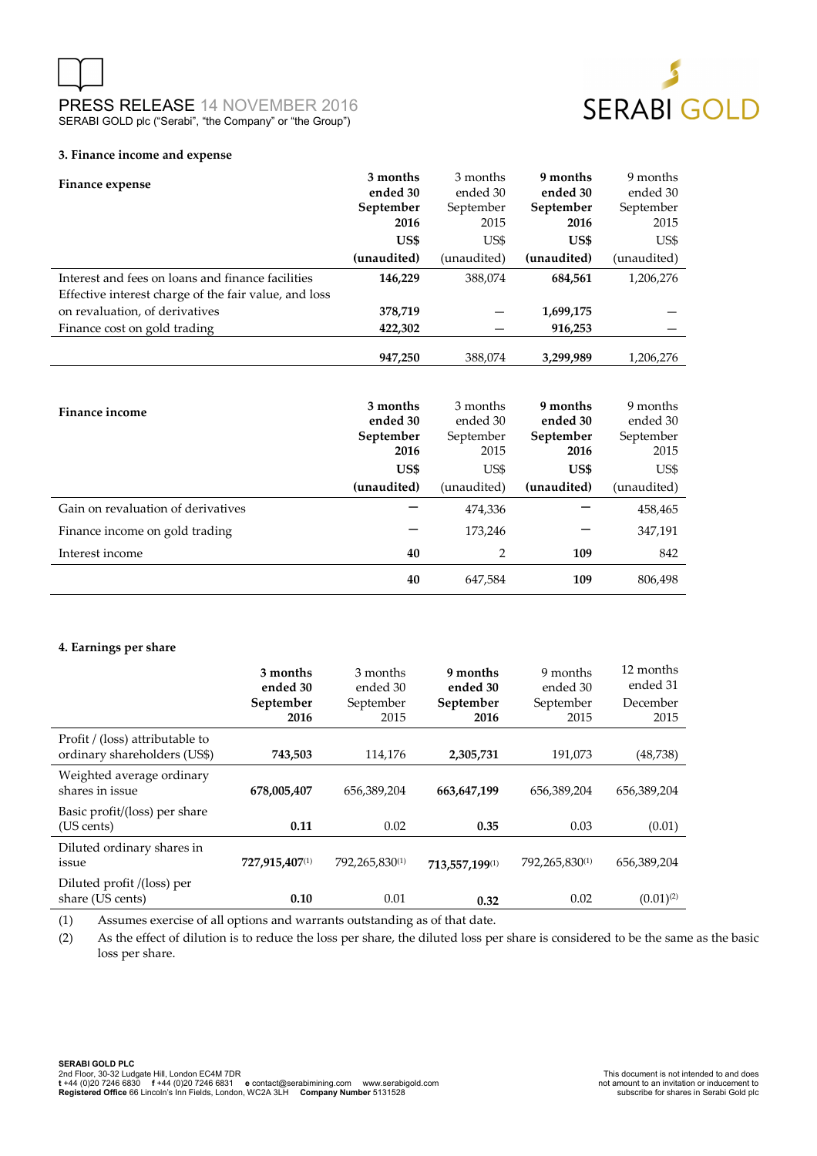



#### **3. Finance income and expense**

| Finance expense                                       | 3 months<br>ended 30 | 3 months<br>ended 30 | 9 months<br>ended 30 | 9 months<br>ended 30 |
|-------------------------------------------------------|----------------------|----------------------|----------------------|----------------------|
|                                                       | September            | September            | September            | September            |
|                                                       | 2016                 | 2015                 | 2016                 | 2015                 |
|                                                       |                      |                      |                      |                      |
|                                                       | US\$                 | US\$                 | US\$                 | US\$                 |
|                                                       | (unaudited)          | (unaudited)          | (unaudited)          | (unaudited)          |
| Interest and fees on loans and finance facilities     | 146,229              | 388,074              | 684,561              | 1,206,276            |
| Effective interest charge of the fair value, and loss |                      |                      |                      |                      |
| on revaluation, of derivatives                        | 378,719              |                      | 1,699,175            |                      |
| Finance cost on gold trading                          | 422,302              |                      | 916,253              |                      |
|                                                       |                      |                      |                      |                      |
|                                                       | 947,250              | 388,074              | 3,299,989            | 1,206,276            |
|                                                       |                      |                      |                      |                      |
|                                                       | 3 months             | 3 months             | 9 months             | 9 months             |
| <b>Finance income</b>                                 | ended 30             | ended 30             | ended 30             | ended 30             |
|                                                       | September            | September            | September            | September            |
|                                                       | 2016                 | 2015                 | 2016                 | 2015                 |
|                                                       | US\$                 | US\$                 | US\$                 | US\$                 |
|                                                       | (unaudited)          | (unaudited)          | (unaudited)          | (unaudited)          |
| Gain on revaluation of derivatives                    |                      | 474,336              |                      | 458,465              |
| Finance income on gold trading                        |                      | 173,246              |                      | 347,191              |
| Interest income                                       | 40                   | 2                    | 109                  | 842                  |
|                                                       | 40                   | 647,584              | 109                  | 806,498              |

#### **4. Earnings per share**

|                                                                 | 3 months<br>ended 30<br>September<br>2016 | 3 months<br>ended 30<br>September<br>2015 | 9 months<br>ended 30<br>September<br>2016 | 9 months<br>ended 30<br>September<br>2015 | 12 months<br>ended 31<br>December<br>2015 |
|-----------------------------------------------------------------|-------------------------------------------|-------------------------------------------|-------------------------------------------|-------------------------------------------|-------------------------------------------|
| Profit / (loss) attributable to<br>ordinary shareholders (US\$) | 743,503                                   | 114,176                                   | 2,305,731                                 | 191,073                                   | (48, 738)                                 |
| Weighted average ordinary<br>shares in issue                    | 678,005,407                               | 656,389,204                               | 663,647,199                               | 656,389,204                               | 656,389,204                               |
| Basic profit/(loss) per share<br>(US cents)                     | 0.11                                      | 0.02                                      | 0.35                                      | 0.03                                      | (0.01)                                    |
| Diluted ordinary shares in<br>issue                             | 727,915,407(1)                            | 792,265,830(1)                            | 713.557.199(1)                            | 792,265,830(1)                            | 656,389,204                               |
| Diluted profit /(loss) per<br>share (US cents)                  | 0.10                                      | 0.01                                      | 0.32                                      | 0.02                                      | $(0.01)^{(2)}$                            |

(1) Assumes exercise of all options and warrants outstanding as of that date.

(2) As the effect of dilution is to reduce the loss per share, the diluted loss per share is considered to be the same as the basic loss per share.